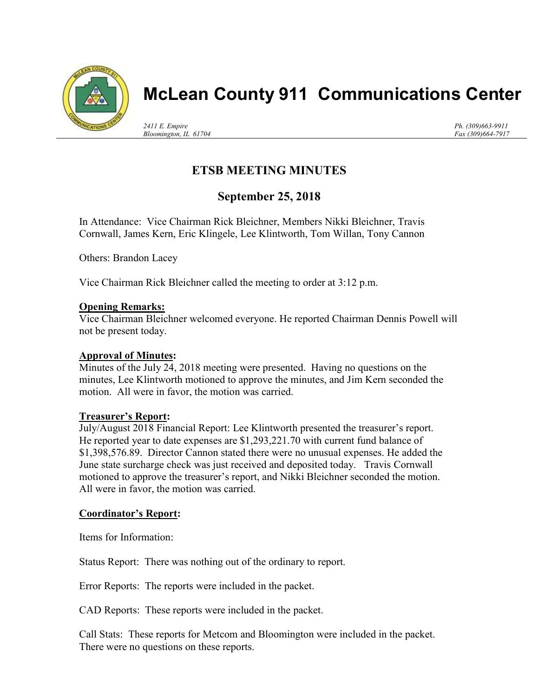

# McLean County 911 Communications Center

2411 E. Empire Bloomington, IL 61704 Ph. (309)663-9911 Fax (309)664-7917

## ETSB MEETING MINUTES

### September 25, 2018

In Attendance: Vice Chairman Rick Bleichner, Members Nikki Bleichner, Travis Cornwall, James Kern, Eric Klingele, Lee Klintworth, Tom Willan, Tony Cannon

Others: Brandon Lacey

Vice Chairman Rick Bleichner called the meeting to order at 3:12 p.m.

#### Opening Remarks:

Vice Chairman Bleichner welcomed everyone. He reported Chairman Dennis Powell will not be present today.

#### Approval of Minutes:

Minutes of the July 24, 2018 meeting were presented. Having no questions on the minutes, Lee Klintworth motioned to approve the minutes, and Jim Kern seconded the motion. All were in favor, the motion was carried.

#### Treasurer's Report:

July/August 2018 Financial Report: Lee Klintworth presented the treasurer's report. He reported year to date expenses are \$1,293,221.70 with current fund balance of \$1,398,576.89. Director Cannon stated there were no unusual expenses. He added the June state surcharge check was just received and deposited today. Travis Cornwall motioned to approve the treasurer's report, and Nikki Bleichner seconded the motion. All were in favor, the motion was carried.

#### Coordinator's Report:

Items for Information:

Status Report: There was nothing out of the ordinary to report.

Error Reports: The reports were included in the packet.

CAD Reports: These reports were included in the packet.

Call Stats: These reports for Metcom and Bloomington were included in the packet. There were no questions on these reports.